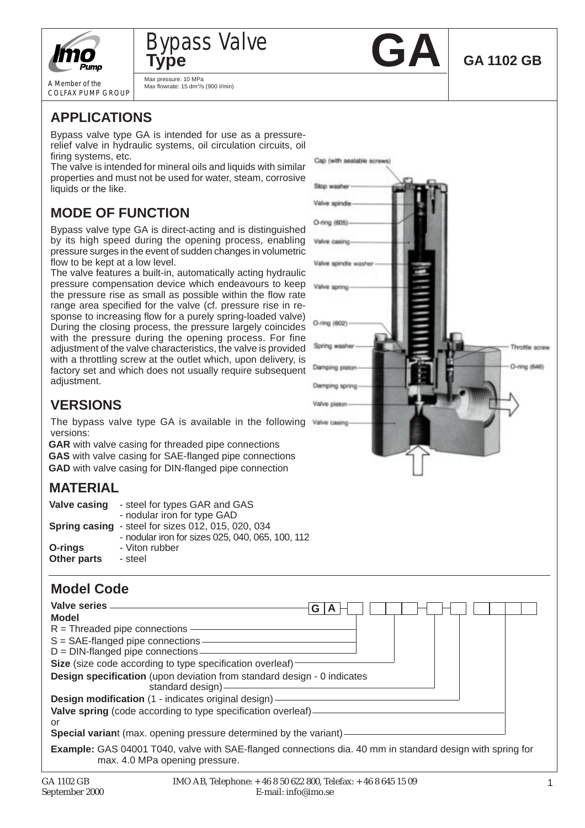



A Member of the COLFAX PUMP GROUP Max pressure: 10 MPa Max flowrate: 15 dm3/s (900 I/min)



Cap (with sealable screws)

Ston washe Valve spindle O-ring (605)

Valve spindle was

Valve spring

O-ring (602)

Spring washe

Damping piston

Damping spring Valve piston-Valve casing

**GA 1102 GB**

Throttle screw

O-ring (646)

# **APPLICATIONS**

Bypass valve type GA is intended for use as a pressurerelief valve in hydraulic systems, oil circulation circuits, oil firing systems, etc.

The valve is intended for mineral oils and liquids with similar properties and must not be used for water, steam, corrosive liquids or the like.

## **MODE OF FUNCTION**

Bypass valve type GA is direct-acting and is distinguished by its high speed during the opening process, enabling pressure surges in the event of sudden changes in volumetric flow to be kept at a low level.

The valve features a built-in, automatically acting hydraulic pressure compensation device which endeavours to keep the pressure rise as small as possible within the flow rate range area specified for the valve (cf. pressure rise in response to increasing flow for a purely spring-loaded valve) During the closing process, the pressure largely coincides with the pressure during the opening process. For fine adjustment of the valve characteristics, the valve is provided with a throttling screw at the outlet which, upon delivery, is factory set and which does not usually require subsequent adjustment.

## **VERSIONS**

The bypass valve type GA is available in the following versions:

**GAR** with valve casing for threaded pipe connections **GAS** with valve casing for SAE-flanged pipe connections **GAD** with valve casing for DIN-flanged pipe connection

## **MATERIAL**

| Valve casing           | - steel for types GAR and GAS<br>- nodular iron for type GAD                                           |
|------------------------|--------------------------------------------------------------------------------------------------------|
|                        | Spring casing - steel for sizes 012, 015, 020, 034<br>- nodular iron for sizes 025, 040, 065, 100, 112 |
| O-rings<br>Other parts | - Viton rubber<br>- steel                                                                              |

### **Model Code**

| Valve series                                                                                                                                       | G I |
|----------------------------------------------------------------------------------------------------------------------------------------------------|-----|
| <b>Model</b>                                                                                                                                       |     |
| $R =$ Threaded pipe connections -                                                                                                                  |     |
| $S = SAE$ -flanged pipe connections -                                                                                                              |     |
| $D = DIN$ -flanged pipe connections                                                                                                                |     |
| Size (size code according to type specification overleaf)                                                                                          |     |
| <b>Design specification</b> (upon deviation from standard design - 0 indicates<br>standard design)                                                 |     |
| Design modification (1 - indicates original design) -                                                                                              |     |
| Valve spring (code according to type specification overleaf)-<br>or                                                                                |     |
| Special variant (max. opening pressure determined by the variant)-                                                                                 |     |
| <b>Example:</b> GAS 04001 T040, valve with SAE-flanged connections dia. 40 mm in standard design with spring for<br>max. 4.0 MPa opening pressure. |     |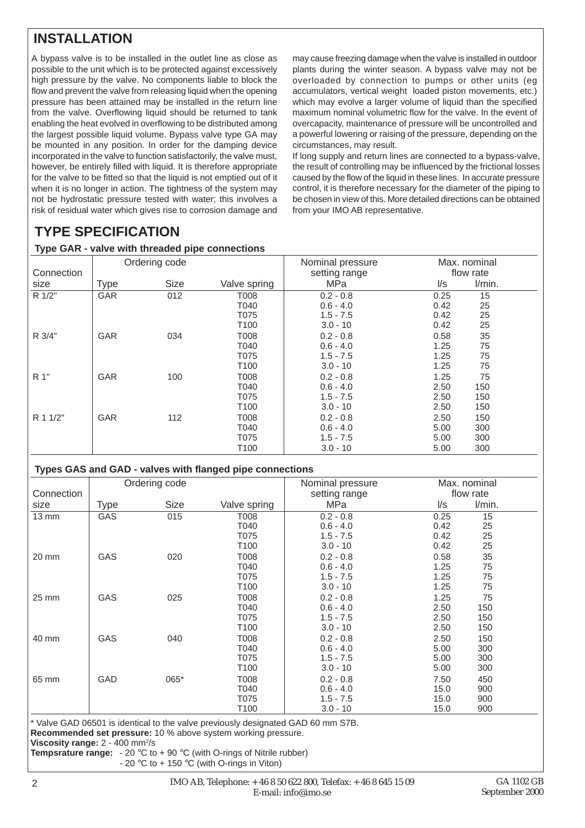## **INSTALLATION**

A bypass valve is to be installed in the outlet line as close as possible to the unit which is to be protected against excessively high pressure by the valve. No components liable to block the flow and prevent the valve from releasing liquid when the opening pressure has been attained may be installed in the return line from the valve. Overflowing liquid should be returned to tank enabling the heat evolved in overflowing to be distributed among the largest possible liquid volume. Bypass valve type GA may be mounted in any position. In order for the damping device incorporated in the valve to function satisfactorily, the valve must, however, be entirely filled with liquid. It is therefore appropriate for the valve to be fitted so that the liquid is not emptied out of it when it is no longer in action. The tightness of the system may not be hydrostatic pressure tested with water; this involves a risk of residual water which gives rise to corrosion damage and

may cause freezing damage when the valve is installed in outdoor plants during the winter season. A bypass valve may not be overloaded by connection to pumps or other units (eg accumulators, vertical weight loaded piston movements, etc.) which may evolve a larger volume of liquid than the specified maximum nominal volumetric flow for the valve. In the event of overcapacity, maintenance of pressure will be uncontrolled and a powerful lowering or raising of the pressure, depending on the circumstances, may result.

If long supply and return lines are connected to a bypass-valve, the result of controlling may be influenced by the frictional losses caused by the flow of the liquid in these lines. In accurate pressure control, it is therefore necessary for the diameter of the piping to be chosen in view of this. More detailed directions can be obtained from your IMO AB representative.

## **TYPE SPECIFICATION**

#### **Type GAR - valve with threaded pipe connections**

| $-$ , $-$  |               | -- r - r -  |                  |                                   |                           |        |  |
|------------|---------------|-------------|------------------|-----------------------------------|---------------------------|--------|--|
| Connection | Ordering code |             |                  | Nominal pressure<br>setting range | Max. nominal<br>flow rate |        |  |
| size       | <b>Type</b>   | <b>Size</b> | Valve spring     | MPa                               | l/s                       | l/min. |  |
| R 1/2"     | GAR           | 012         | T008             | $0.2 - 0.8$                       | 0.25                      | 15     |  |
|            |               |             | T040             | $0.6 - 4.0$                       | 0.42                      | 25     |  |
|            |               |             | T075             | $1.5 - 7.5$                       | 0.42                      | 25     |  |
|            |               |             | T100             | $3.0 - 10$                        | 0.42                      | 25     |  |
| R 3/4"     | GAR           | 034         | T008             | $0.2 - 0.8$                       | 0.58                      | 35     |  |
|            |               |             | T040             | $0.6 - 4.0$                       | 1.25                      | 75     |  |
|            |               |             | T075             | $1.5 - 7.5$                       | 1.25                      | 75     |  |
|            |               |             | T <sub>100</sub> | $3.0 - 10$                        | 1.25                      | 75     |  |
| R 1"       | GAR           | 100         | T008             | $0.2 - 0.8$                       | 1.25                      | 75     |  |
|            |               |             | T040             | $0.6 - 4.0$                       | 2.50                      | 150    |  |
|            |               |             | T075             | $1.5 - 7.5$                       | 2.50                      | 150    |  |
|            |               |             | T100             | $3.0 - 10$                        | 2.50                      | 150    |  |
| R 1 1/2"   | <b>GAR</b>    | 112         | T008             | $0.2 - 0.8$                       | 2.50                      | 150    |  |
|            |               |             | T040             | $0.6 - 4.0$                       | 5.00                      | 300    |  |
|            |               |             | T075             | $1.5 - 7.5$                       | 5.00                      | 300    |  |
|            |               |             | T100             | $3.0 - 10$                        | 5.00                      | 300    |  |

#### **Types GAS and GAD - valves with flanged pipe connections**

|            | Ordering code |             |              | Nominal pressure | Max. nominal            |           |
|------------|---------------|-------------|--------------|------------------|-------------------------|-----------|
| Connection |               |             |              | setting range    |                         | flow rate |
| size       | Type          | <b>Size</b> | Valve spring | MPa              | $\mathsf{I}/\mathsf{s}$ | I/min.    |
| 13 mm      | GAS           | 015         | T008         | $0.2 - 0.8$      | 0.25                    | 15        |
|            |               |             | T040         | $0.6 - 4.0$      | 0.42                    | 25        |
|            |               |             | T075         | $1.5 - 7.5$      | 0.42                    | 25        |
|            |               |             | T100         | $3.0 - 10$       | 0.42                    | 25        |
| 20 mm      | GAS           | 020         | T008         | $0.2 - 0.8$      | 0.58                    | 35        |
|            |               |             | T040         | $0.6 - 4.0$      | 1.25                    | 75        |
|            |               |             | T075         | $1.5 - 7.5$      | 1.25                    | 75        |
|            |               |             | T100         | $3.0 - 10$       | 1.25                    | 75        |
| 25 mm      | GAS           | 025         | T008         | $0.2 - 0.8$      | 1.25                    | 75        |
|            |               |             | T040         | $0.6 - 4.0$      | 2.50                    | 150       |
|            |               |             | T075         | $1.5 - 7.5$      | 2.50                    | 150       |
|            |               |             | T100         | $3.0 - 10$       | 2.50                    | 150       |
| 40 mm      | GAS           | 040         | T008         | $0.2 - 0.8$      | 2.50                    | 150       |
|            |               |             | T040         | $0.6 - 4.0$      | 5.00                    | 300       |
|            |               |             | T075         | $1.5 - 7.5$      | 5.00                    | 300       |
|            |               |             | T100         | $3.0 - 10$       | 5.00                    | 300       |
| 65 mm      | GAD           | 065*        | T008         | $0.2 - 0.8$      | 7.50                    | 450       |
|            |               |             | T040         | $0.6 - 4.0$      | 15.0                    | 900       |
|            |               |             | T075         | $1.5 - 7.5$      | 15.0                    | 900       |
|            |               |             | T100         | $3.0 - 10$       | 15.0                    | 900       |

\* Valve GAD 06501 is identical to the valve previously designated GAD 60 mm S7B. **Recommended set pressure:** 10 % above system working pressure.

**Viscosity range: 2 - 400 mm<sup>2</sup>/s** 

**Tempsrature range:** - 20 °C to + 90 °C (with O-rings of Nitrile rubber)

- 20 °C to + 150 °C (with O-rings in Viton)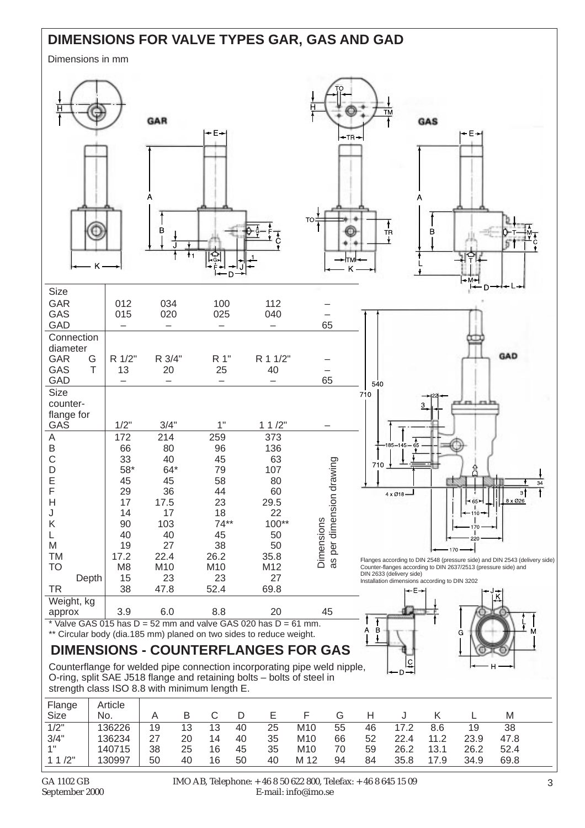